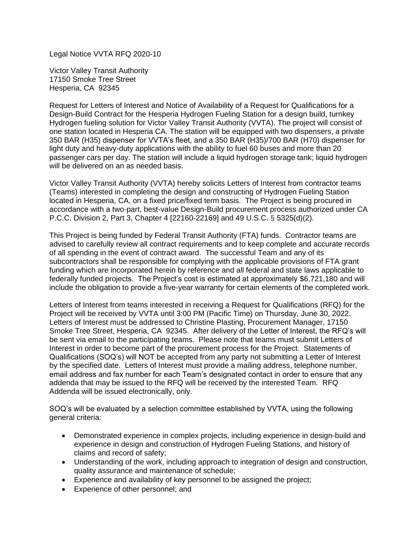Legal Notice VVTA RFQ 2020-10

Victor Valley Transit Authority 17150 Smoke Tree Street Hesperia, CA 92345

Request for Letters of Interest and Notice of Availability of a Request for Qualifications for a Design-Build Contract for the Hesperia Hydrogen Fueling Station for a design build, turnkey Hydrogen fueling solution for Victor Valley Transit Authority (VVTA). The project will consist of one station located in Hesperia CA. The station will be equipped with two dispensers, a private 350 BAR (H35) dispenser for VVTA's fleet, and a 350 BAR (H35)/700 BAR (H70) dispenser for light duty and heavy-duty applications with the ability to fuel 60 buses and more than 20 passenger cars per day. The station will include a liquid hydrogen storage tank; liquid hydrogen will be delivered on an as needed basis.

Victor Valley Transit Authority (VVTA) hereby solicits Letters of Interest from contractor teams (Teams) interested in completing the design and constructing of Hydrogen Fueling Station located in Hesperia, CA, on a fixed price/fixed term basis. The Project is being procured in accordance with a two-part, best-value Design-Build procurement process authorized under CA P.C.C. Division 2, Part 3, Chapter 4 [22160-22169] and 49 U.S.C. § 5325(d)(2).

This Project is being funded by Federal Transit Authority (FTA) funds. Contractor teams are advised to carefully review all contract requirements and to keep complete and accurate records of all spending in the event of contract award. The successful Team and any of its subcontractors shall be responsible for complying with the applicable provisions of FTA grant funding which are incorporated herein by reference and all federal and state laws applicable to federally funded projects. The Project's cost is estimated at approximately \$6,721,180 and will include the obligation to provide a five-year warranty for certain elements of the completed work.

Letters of Interest from teams interested in receiving a Request for Qualifications (RFQ) for the Project will be received by VVTA until 3:00 PM (Pacific Time) on Thursday, June 30, 2022. Letters of Interest must be addressed to Christine Plasting, Procurement Manager, 17150 Smoke Tree Street, Hesperia, CA 92345. After delivery of the Letter of Interest, the RFQ's will be sent via email to the participating teams. Please note that teams must submit Letters of Interest in order to become part of the procurement process for the Project. Statements of Qualifications (SOQ's) will NOT be accepted from any party not submitting a Letter of Interest by the specified date. Letters of Interest must provide a mailing address, telephone number, email address and fax number for each Team's designated contact in order to ensure that any addenda that may be issued to the RFQ will be received by the interested Team. RFQ Addenda will be issued electronically, only.

SOQ's will be evaluated by a selection committee established by VVTA, using the following general criteria:

- Demonstrated experience in complex projects, including experience in design-build and experience in design and construction of Hydrogen Fueling Stations, and history of claims and record of safety;
- Understanding of the work, including approach to integration of design and construction, quality assurance and maintenance of schedule;
- Experience and availability of key personnel to be assigned the project;
- Experience of other personnel; and